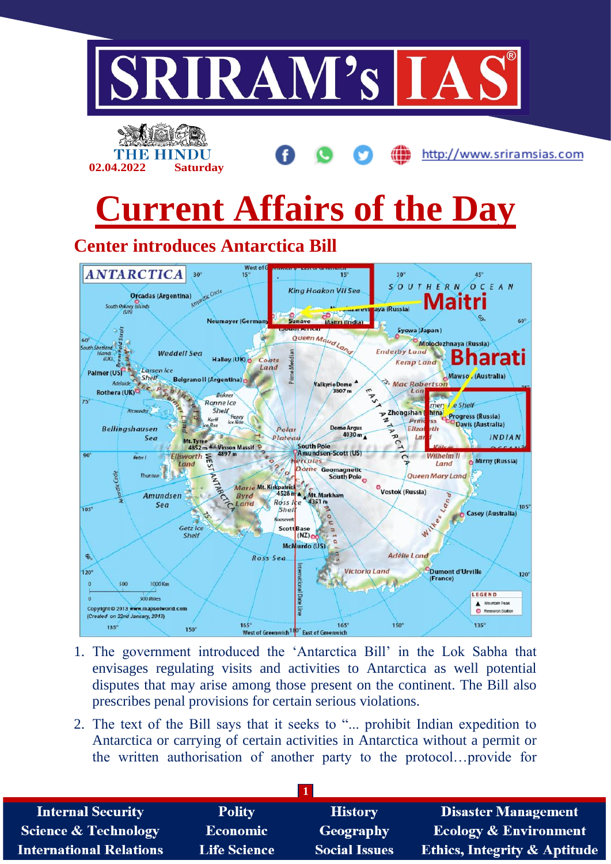

- 1. The government introduced the 'Antarctica Bill' in the Lok Sabha that envisages regulating visits and activities to Antarctica as well potential disputes that may arise among those present on the continent. The Bill also prescribes penal provisions for certain serious violations.
- 2. The text of the Bill says that it seeks to "... prohibit Indian expedition to Antarctica or carrying of certain activities in Antarctica without a permit or the written authorisation of another party to the protocol…provide for

| <b>Internal Security</b>        | <b>Polity</b>       | <b>History</b>       | <b>Disaster Management</b>              |
|---------------------------------|---------------------|----------------------|-----------------------------------------|
| <b>Science &amp; Technology</b> | Economic            | Geography            | <b>Ecology &amp; Environment</b>        |
| <b>International Relations</b>  | <b>Life Science</b> | <b>Social Issues</b> | <b>Ethics, Integrity &amp; Aptitude</b> |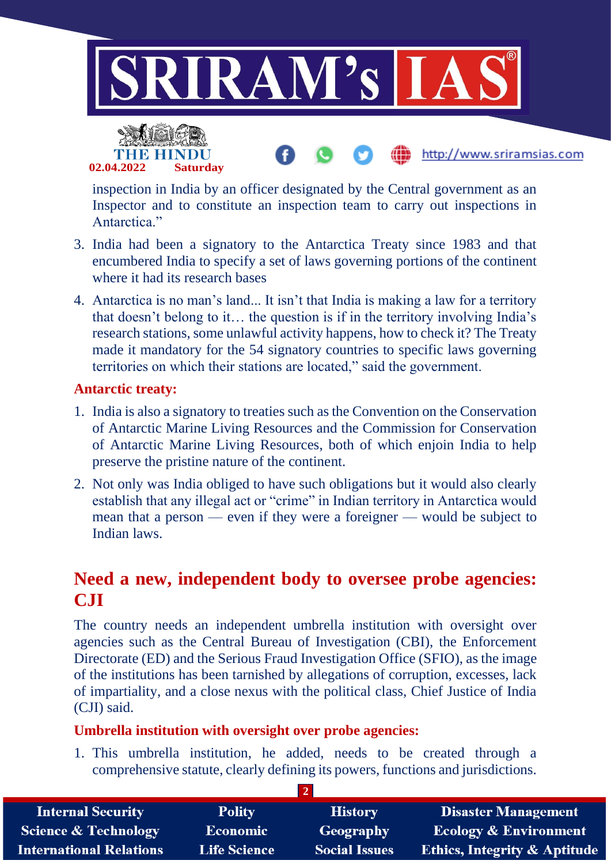

http://www.sriramsias.com



inspection in India by an officer designated by the Central government as an Inspector and to constitute an inspection team to carry out inspections in Antarctica<sup>"</sup>

- 3. India had been a signatory to the Antarctica Treaty since 1983 and that encumbered India to specify a set of laws governing portions of the continent where it had its research bases
- 4. Antarctica is no man's land... It isn't that India is making a law for a territory that doesn't belong to it… the question is if in the territory involving India's research stations, some unlawful activity happens, how to check it? The Treaty made it mandatory for the 54 signatory countries to specific laws governing territories on which their stations are located," said the government.

#### **Antarctic treaty:**

- 1. India is also a signatory to treaties such as the Convention on the Conservation of Antarctic Marine Living Resources and the Commission for Conservation of Antarctic Marine Living Resources, both of which enjoin India to help preserve the pristine nature of the continent.
- 2. Not only was India obliged to have such obligations but it would also clearly establish that any illegal act or "crime" in Indian territory in Antarctica would mean that a person — even if they were a foreigner — would be subject to Indian laws.

## **Need a new, independent body to oversee probe agencies: CJI**

The country needs an independent umbrella institution with oversight over agencies such as the Central Bureau of Investigation (CBI), the Enforcement Directorate (ED) and the Serious Fraud Investigation Office (SFIO), as the image of the institutions has been tarnished by allegations of corruption, excesses, lack of impartiality, and a close nexus with the political class, Chief Justice of India (CJI) said.

#### **Umbrella institution with oversight over probe agencies:**

1. This umbrella institution, he added, needs to be created through a comprehensive statute, clearly defining its powers, functions and jurisdictions.

| <b>Internal Security</b>        | <b>Polity</b>       | <b>History</b>       | <b>Disaster Management</b>              |
|---------------------------------|---------------------|----------------------|-----------------------------------------|
| <b>Science &amp; Technology</b> | <b>Economic</b>     | Geography            | <b>Ecology &amp; Environment</b>        |
| <b>International Relations</b>  | <b>Life Science</b> | <b>Social Issues</b> | <b>Ethics, Integrity &amp; Aptitude</b> |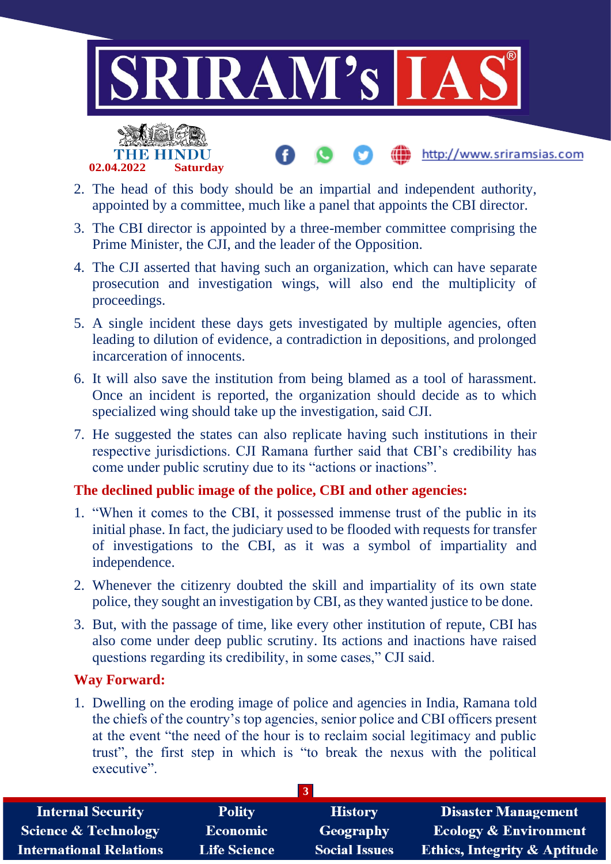

- 2. The head of this body should be an impartial and independent authority, appointed by a committee, much like a panel that appoints the CBI director.
- 3. The CBI director is appointed by a three-member committee comprising the Prime Minister, the CJI, and the leader of the Opposition.
- 4. The CJI asserted that having such an organization, which can have separate prosecution and investigation wings, will also end the multiplicity of proceedings.
- 5. A single incident these days gets investigated by multiple agencies, often leading to dilution of evidence, a contradiction in depositions, and prolonged incarceration of innocents.
- 6. It will also save the institution from being blamed as a tool of harassment. Once an incident is reported, the organization should decide as to which specialized wing should take up the investigation, said CJI.
- 7. He suggested the states can also replicate having such institutions in their respective jurisdictions. CJI Ramana further said that CBI's credibility has come under public scrutiny due to its "actions or inactions".

## **The declined public image of the police, CBI and other agencies:**

- 1. "When it comes to the CBI, it possessed immense trust of the public in its initial phase. In fact, the judiciary used to be flooded with requests for transfer of investigations to the CBI, as it was a symbol of impartiality and independence.
- 2. Whenever the citizenry doubted the skill and impartiality of its own state police, they sought an investigation by CBI, as they wanted justice to be done.
- 3. But, with the passage of time, like every other institution of repute, CBI has also come under deep public scrutiny. Its actions and inactions have raised questions regarding its credibility, in some cases," CJI said.

#### **Way Forward:**

**02.04.2022 Saturday**

1. Dwelling on the eroding image of police and agencies in India, Ramana told the chiefs of the country's top agencies, senior police and CBI officers present at the event "the need of the hour is to reclaim social legitimacy and public trust", the first step in which is "to break the nexus with the political executive".

| <b>Internal Security</b>        | <b>Polity</b>       | <b>History</b>       | <b>Disaster Management</b>              |
|---------------------------------|---------------------|----------------------|-----------------------------------------|
| <b>Science &amp; Technology</b> | <b>Economic</b>     | Geography            | <b>Ecology &amp; Environment</b>        |
| <b>International Relations</b>  | <b>Life Science</b> | <b>Social Issues</b> | <b>Ethics, Integrity &amp; Aptitude</b> |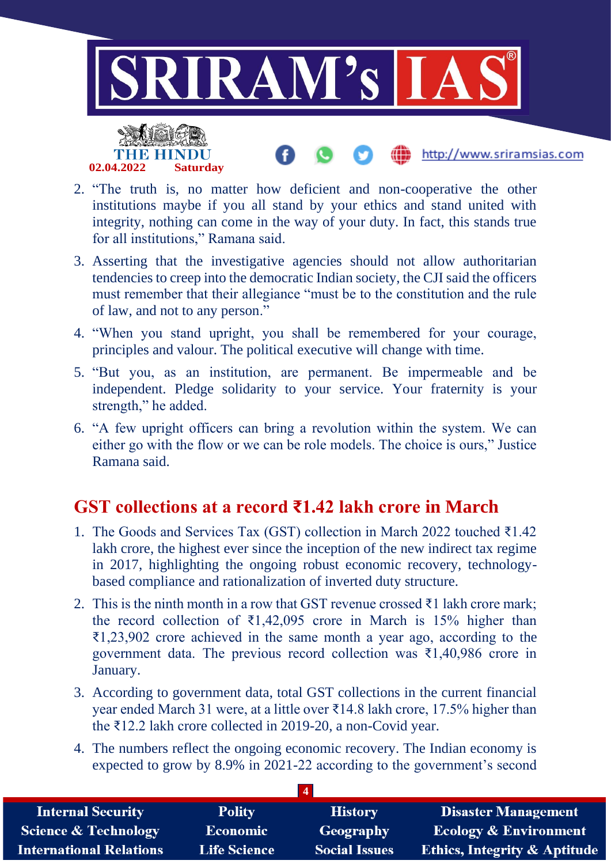

- 2. "The truth is, no matter how deficient and non-cooperative the other institutions maybe if you all stand by your ethics and stand united with integrity, nothing can come in the way of your duty. In fact, this stands true for all institutions," Ramana said.
- 3. Asserting that the investigative agencies should not allow authoritarian tendencies to creep into the democratic Indian society, the CJI said the officers must remember that their allegiance "must be to the constitution and the rule of law, and not to any person."
- 4. "When you stand upright, you shall be remembered for your courage, principles and valour. The political executive will change with time.
- 5. "But you, as an institution, are permanent. Be impermeable and be independent. Pledge solidarity to your service. Your fraternity is your strength," he added.
- 6. "A few upright officers can bring a revolution within the system. We can either go with the flow or we can be role models. The choice is ours," Justice Ramana said.

# **GST collections at a record ₹1.42 lakh crore in March**

- 1. The Goods and Services Tax (GST) collection in March 2022 touched ₹1.42 lakh crore, the highest ever since the inception of the new indirect tax regime in 2017, highlighting the ongoing robust economic recovery, technologybased compliance and rationalization of inverted duty structure.
- 2. This is the ninth month in a row that GST revenue crossed ₹1 lakh crore mark; the record collection of  $\bar{\mathfrak{z}}1,42,095$  crore in March is 15% higher than ₹1,23,902 crore achieved in the same month a year ago, according to the government data. The previous record collection was  $\bar{\xi}$ 1,40,986 crore in January.
- 3. According to government data, total GST collections in the current financial year ended March 31 were, at a little over ₹14.8 lakh crore, 17.5% higher than the ₹12.2 lakh crore collected in 2019-20, a non-Covid year.
- 4. The numbers reflect the ongoing economic recovery. The Indian economy is expected to grow by 8.9% in 2021-22 according to the government's second

| <b>Internal Security</b>        | <b>Polity</b>       | <b>History</b>       | <b>Disaster Management</b>              |
|---------------------------------|---------------------|----------------------|-----------------------------------------|
| <b>Science &amp; Technology</b> | Economic            | Geography            | <b>Ecology &amp; Environment</b>        |
| <b>International Relations</b>  | <b>Life Science</b> | <b>Social Issues</b> | <b>Ethics, Integrity &amp; Aptitude</b> |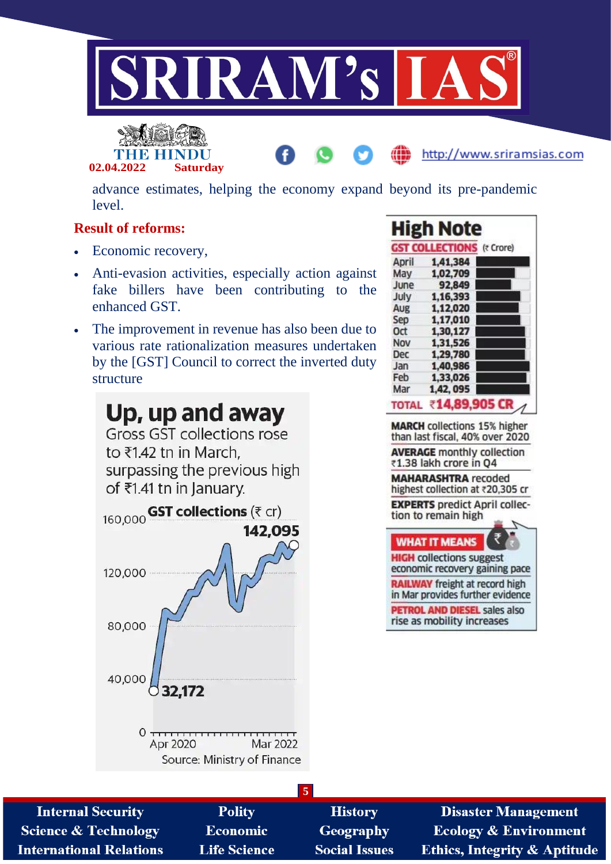



advance estimates, helping the economy expand beyond its pre-pandemic level.

## **Result of reforms:**

- Economic recovery,
- Anti-evasion activities, especially action against fake billers have been contributing to the enhanced GST.
- The improvement in revenue has also been due to various rate rationalization measures undertaken by the [GST] Council to correct the inverted duty structure



|              | <b>High Note</b>                 |  |
|--------------|----------------------------------|--|
|              | <b>GST COLLECTIONS (₹ Crore)</b> |  |
| April        | 1,41,384                         |  |
| May          | 1,02,709                         |  |
| June         | 92,849                           |  |
| July         | 1,16,393                         |  |
| Aug          | 1,12,020                         |  |
| Sep          | 1,17,010                         |  |
| 0ct          | 1,30,127                         |  |
| Nov          | 1,31,526                         |  |
| Dec          | 1,29,780                         |  |
| Jan          | 1,40,986                         |  |
| Feb          | 1,33,026                         |  |
| Mar          | 1,42, 095                        |  |
| <b>TOTAL</b> | ₹14,89,905                       |  |

http://www.sriramsias.com

**MARCH** collections 15% higher than last fiscal, 40% over 2020 **AVERAGE** monthly collection ₹1.38 lakh crore in Q4 **MAHARASHTRA** recoded highest collection at ₹20,305 cr **EXPERTS** predict April collection to remain high **WHAT IT MEANS HIGH** collections suggest economic recovery gaining pace **RAILWAY** freight at record high in Mar provides further evidence

**PETROL AND DIESEL sales also** rise as mobility increases

|                                 |                     | 5                    |                                         |
|---------------------------------|---------------------|----------------------|-----------------------------------------|
| <b>Internal Security</b>        | <b>Polity</b>       | <b>History</b>       | <b>Disaster Management</b>              |
| <b>Science &amp; Technology</b> | <b>Economic</b>     | <b>Geography</b>     | <b>Ecology &amp; Environment</b>        |
| <b>International Relations</b>  | <b>Life Science</b> | <b>Social Issues</b> | <b>Ethics, Integrity &amp; Aptitude</b> |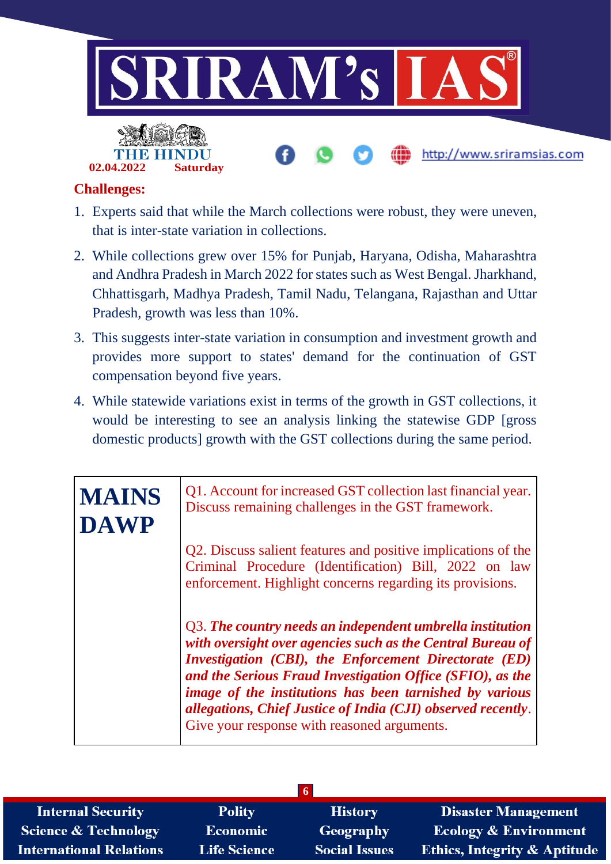

## **Challenges:**

- 1. Experts said that while the March collections were robust, they were uneven, that is inter-state variation in collections.
- 2. While collections grew over 15% for Punjab, Haryana, Odisha, Maharashtra and Andhra Pradesh in March 2022 for states such as West Bengal. Jharkhand, Chhattisgarh, Madhya Pradesh, Tamil Nadu, Telangana, Rajasthan and Uttar Pradesh, growth was less than 10%.
- 3. This suggests inter-state variation in consumption and investment growth and provides more support to states' demand for the continuation of GST compensation beyond five years.
- 4. While statewide variations exist in terms of the growth in GST collections, it would be interesting to see an analysis linking the statewise GDP [gross domestic products] growth with the GST collections during the same period.

| <b>MAINS</b> | Q1. Account for increased GST collection last financial year.<br>Discuss remaining challenges in the GST framework.                                                                                                                                                                                                                                                                                                            |
|--------------|--------------------------------------------------------------------------------------------------------------------------------------------------------------------------------------------------------------------------------------------------------------------------------------------------------------------------------------------------------------------------------------------------------------------------------|
| <b>DAWP</b>  | Q2. Discuss salient features and positive implications of the<br>Criminal Procedure (Identification) Bill, 2022 on law                                                                                                                                                                                                                                                                                                         |
|              | enforcement. Highlight concerns regarding its provisions.                                                                                                                                                                                                                                                                                                                                                                      |
|              | Q3. The country needs an independent umbrella institution<br>with oversight over agencies such as the Central Bureau of<br><b>Investigation (CBI), the Enforcement Directorate (ED)</b><br>and the Serious Fraud Investigation Office (SFIO), as the<br>image of the institutions has been tarnished by various<br>allegations, Chief Justice of India (CJI) observed recently.<br>Give your response with reasoned arguments. |

| <b>Internal Security</b>        | <b>Polity</b>       | <b>History</b>       | <b>Disaster Management</b>              |
|---------------------------------|---------------------|----------------------|-----------------------------------------|
| <b>Science &amp; Technology</b> | <b>Economic</b>     | <b>Geography</b>     | <b>Ecology &amp; Environment</b>        |
| <b>International Relations</b>  | <b>Life Science</b> | <b>Social Issues</b> | <b>Ethics, Integrity &amp; Aptitude</b> |
|                                 |                     |                      |                                         |